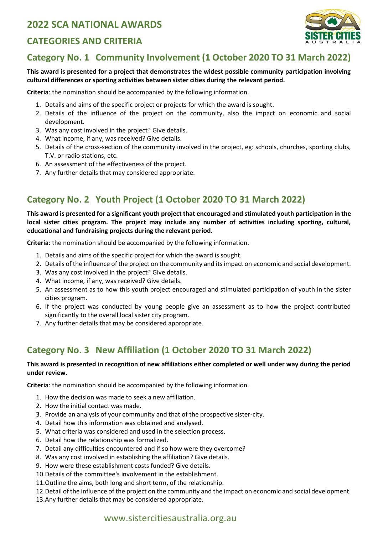## **2022 SCA NATIONAL AWARDS**

#### **CATEGORIES AND CRITERIA**



## **Category No. 1 Community Involvement (1 October 2020 TO 31 March 2022)**

#### **This award is presented for a project that demonstrates the widest possible community participation involving cultural differences or sporting activities between sister cities during the relevant period.**

**Criteria**: the nomination should be accompanied by the following information.

- 1. Details and aims of the specific project or projects for which the award is sought.
- 2. Details of the influence of the project on the community, also the impact on economic and social development.
- 3. Was any cost involved in the project? Give details.
- 4. What income, if any, was received? Give details.
- 5. Details of the cross-section of the community involved in the project, eg: schools, churches, sporting clubs, T.V. or radio stations, etc.
- 6. An assessment of the effectiveness of the project.
- 7. Any further details that may considered appropriate.

## **Category No. 2 Youth Project (1 October 2020 TO 31 March 2022)**

**This award is presented for a significant youth project that encouraged and stimulated youth participation in the local sister cities program. The project may include any number of activities including sporting, cultural, educational and fundraising projects during the relevant period.** 

**Criteria**: the nomination should be accompanied by the following information.

- 1. Details and aims of the specific project for which the award is sought.
- 2. Details of the influence of the project on the community and its impact on economic and social development.
- 3. Was any cost involved in the project? Give details.
- 4. What income, if any, was received? Give details.
- 5. An assessment as to how this youth project encouraged and stimulated participation of youth in the sister cities program.
- 6. If the project was conducted by young people give an assessment as to how the project contributed significantly to the overall local sister city program.
- 7. Any further details that may be considered appropriate.

## **Category No. 3 New Affiliation (1 October 2020 TO 31 March 2022)**

#### **This award is presented in recognition of new affiliations either completed or well under way during the period under review.**

**Criteria**: the nomination should be accompanied by the following information.

- 1. How the decision was made to seek a new affiliation.
- 2. How the initial contact was made.
- 3. Provide an analysis of your community and that of the prospective sister-city.
- 4. Detail how this information was obtained and analysed.
- 5. What criteria was considered and used in the selection process.
- 6. Detail how the relationship was formalized.
- 7. Detail any difficulties encountered and if so how were they overcome?
- 8. Was any cost involved in establishing the affiliation? Give details.
- 9. How were these establishment costs funded? Give details.
- 10.Details of the committee's involvement in the establishment.
- 11.Outline the aims, both long and short term, of the relationship.
- 12.Detail of the influence of the project on the community and the impact on economic and social development.
- 13.Any further details that may be considered appropriate.

#### www.sistercitiesaustralia.org.au